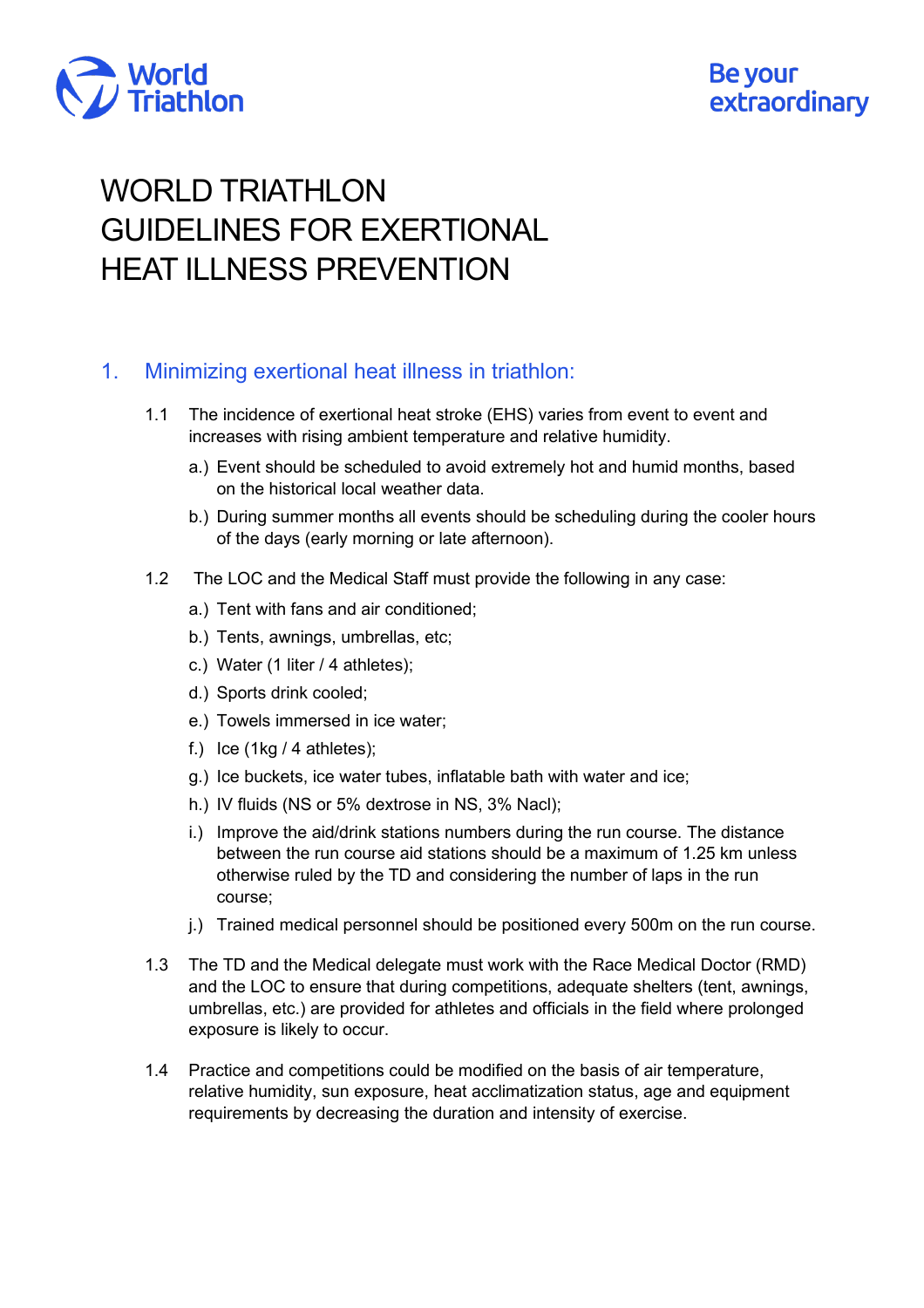

# WORLD TRIATHLON GUIDELINES FOR EXERTIONAL HEAT ILLNESS PREVENTION

#### 1. Minimizing exertional heat illness in triathlon:

- 1.1 The incidence of exertional heat stroke (EHS) varies from event to event and increases with rising ambient temperature and relative humidity.
	- a.) Event should be scheduled to avoid extremely hot and humid months, based on the historical local weather data.
	- b.) During summer months all events should be scheduling during the cooler hours of the days (early morning or late afternoon).
- 1.2 The LOC and the Medical Staff must provide the following in any case:
	- a.) Tent with fans and air conditioned;
	- b.) Tents, awnings, umbrellas, etc;
	- c.) Water (1 liter / 4 athletes);
	- d.) Sports drink cooled;
	- e.) Towels immersed in ice water;
	- f.) Ice  $(1kg / 4$  athletes);
	- g.) Ice buckets, ice water tubes, inflatable bath with water and ice;
	- h.) IV fluids (NS or 5% dextrose in NS, 3% Nacl);
	- i.) Improve the aid/drink stations numbers during the run course. The distance between the run course aid stations should be a maximum of 1.25 km unless otherwise ruled by the TD and considering the number of laps in the run course;
	- j.) Trained medical personnel should be positioned every 500m on the run course.
- 1.3 The TD and the Medical delegate must work with the Race Medical Doctor (RMD) and the LOC to ensure that during competitions, adequate shelters (tent, awnings, umbrellas, etc.) are provided for athletes and officials in the field where prolonged exposure is likely to occur.
- 1.4 Practice and competitions could be modified on the basis of air temperature, relative humidity, sun exposure, heat acclimatization status, age and equipment requirements by decreasing the duration and intensity of exercise.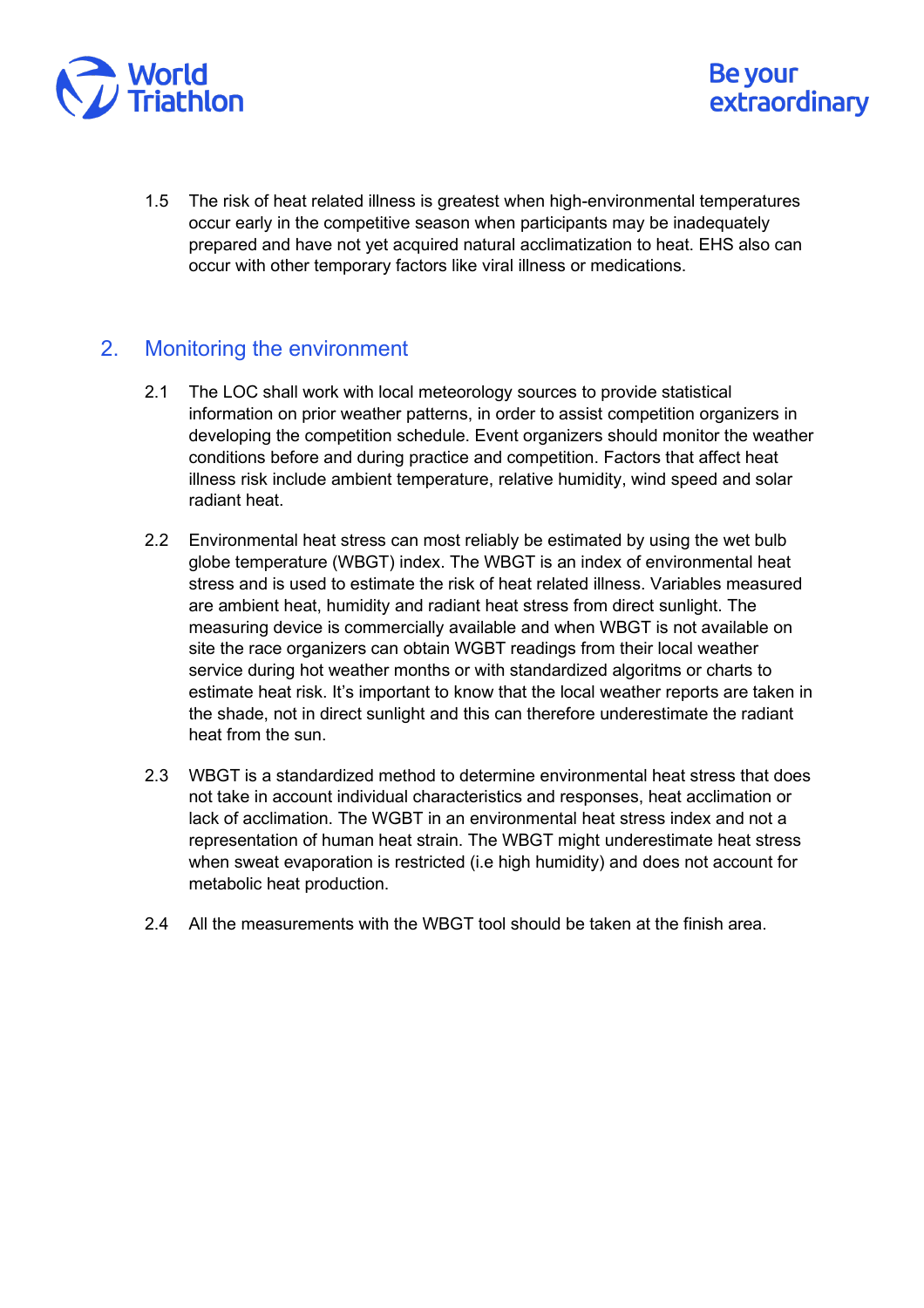

1.5 The risk of heat related illness is greatest when high-environmental temperatures occur early in the competitive season when participants may be inadequately prepared and have not yet acquired natural acclimatization to heat. EHS also can occur with other temporary factors like viral illness or medications.

Be your

extraordinary

#### 2. Monitoring the environment

- 2.1 The LOC shall work with local meteorology sources to provide statistical information on prior weather patterns, in order to assist competition organizers in developing the competition schedule. Event organizers should monitor the weather conditions before and during practice and competition. Factors that affect heat illness risk include ambient temperature, relative humidity, wind speed and solar radiant heat.
- 2.2 Environmental heat stress can most reliably be estimated by using the wet bulb globe temperature (WBGT) index. The WBGT is an index of environmental heat stress and is used to estimate the risk of heat related illness. Variables measured are ambient heat, humidity and radiant heat stress from direct sunlight. The measuring device is commercially available and when WBGT is not available on site the race organizers can obtain WGBT readings from their local weather service during hot weather months or with standardized algoritms or charts to estimate heat risk. It's important to know that the local weather reports are taken in the shade, not in direct sunlight and this can therefore underestimate the radiant heat from the sun.
- 2.3 WBGT is a standardized method to determine environmental heat stress that does not take in account individual characteristics and responses, heat acclimation or lack of acclimation. The WGBT in an environmental heat stress index and not a representation of human heat strain. The WBGT might underestimate heat stress when sweat evaporation is restricted (i.e high humidity) and does not account for metabolic heat production.
- 2.4 All the measurements with the WBGT tool should be taken at the finish area.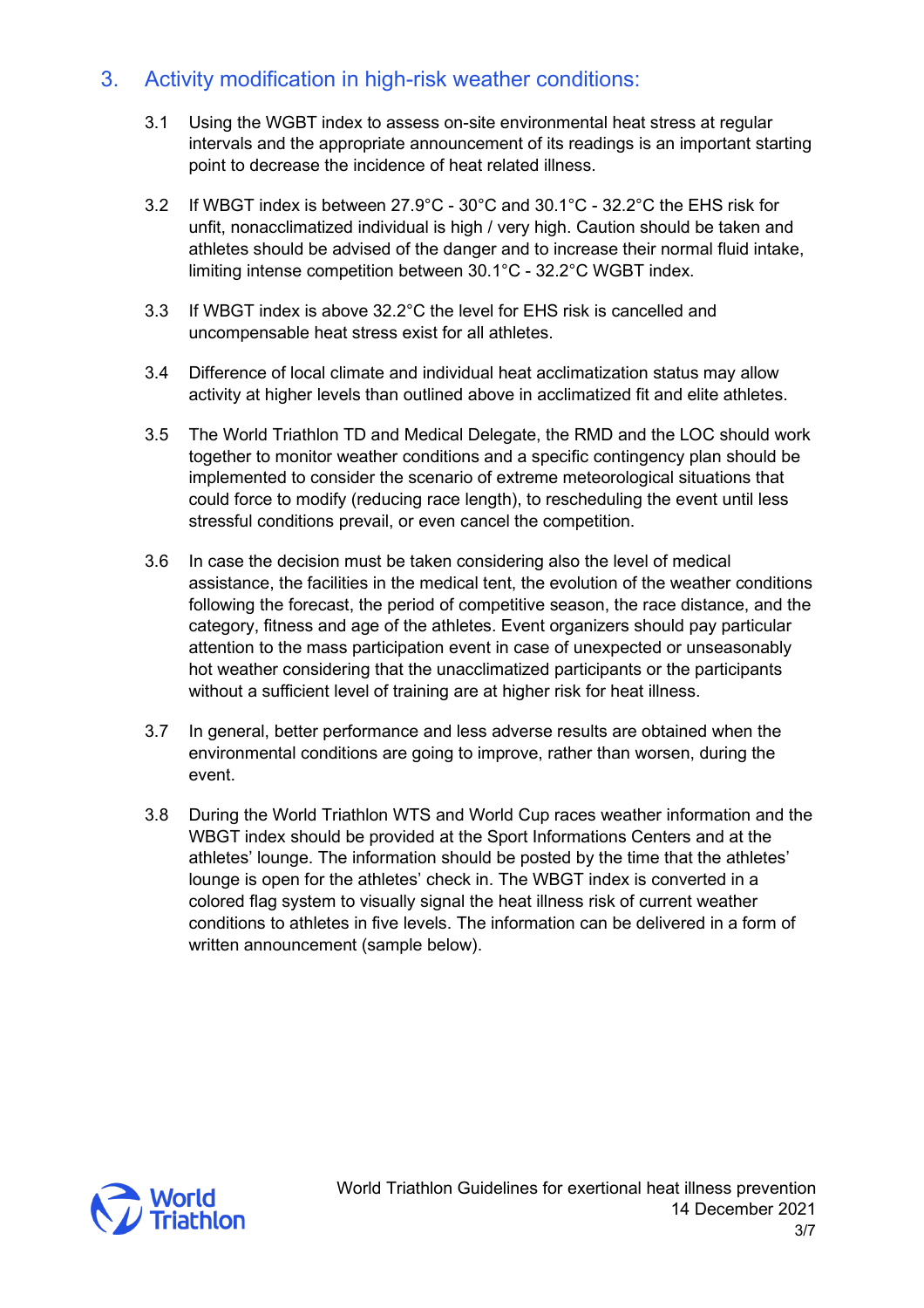### 3. Activity modification in high-risk weather conditions:

- 3.1 Using the WGBT index to assess on-site environmental heat stress at regular intervals and the appropriate announcement of its readings is an important starting point to decrease the incidence of heat related illness.
- 3.2 If WBGT index is between 27.9°C 30°C and 30.1°C 32.2°C the EHS risk for unfit, nonacclimatized individual is high / very high. Caution should be taken and athletes should be advised of the danger and to increase their normal fluid intake, limiting intense competition between 30.1°C - 32.2°C WGBT index.
- 3.3 If WBGT index is above 32.2°C the level for EHS risk is cancelled and uncompensable heat stress exist for all athletes.
- 3.4 Difference of local climate and individual heat acclimatization status may allow activity at higher levels than outlined above in acclimatized fit and elite athletes.
- 3.5 The World Triathlon TD and Medical Delegate, the RMD and the LOC should work together to monitor weather conditions and a specific contingency plan should be implemented to consider the scenario of extreme meteorological situations that could force to modify (reducing race length), to rescheduling the event until less stressful conditions prevail, or even cancel the competition.
- 3.6 In case the decision must be taken considering also the level of medical assistance, the facilities in the medical tent, the evolution of the weather conditions following the forecast, the period of competitive season, the race distance, and the category, fitness and age of the athletes. Event organizers should pay particular attention to the mass participation event in case of unexpected or unseasonably hot weather considering that the unacclimatized participants or the participants without a sufficient level of training are at higher risk for heat illness.
- 3.7 In general, better performance and less adverse results are obtained when the environmental conditions are going to improve, rather than worsen, during the event.
- 3.8 During the World Triathlon WTS and World Cup races weather information and the WBGT index should be provided at the Sport Informations Centers and at the athletes' lounge. The information should be posted by the time that the athletes' lounge is open for the athletes' check in. The WBGT index is converted in a colored flag system to visually signal the heat illness risk of current weather conditions to athletes in five levels. The information can be delivered in a form of written announcement (sample below).

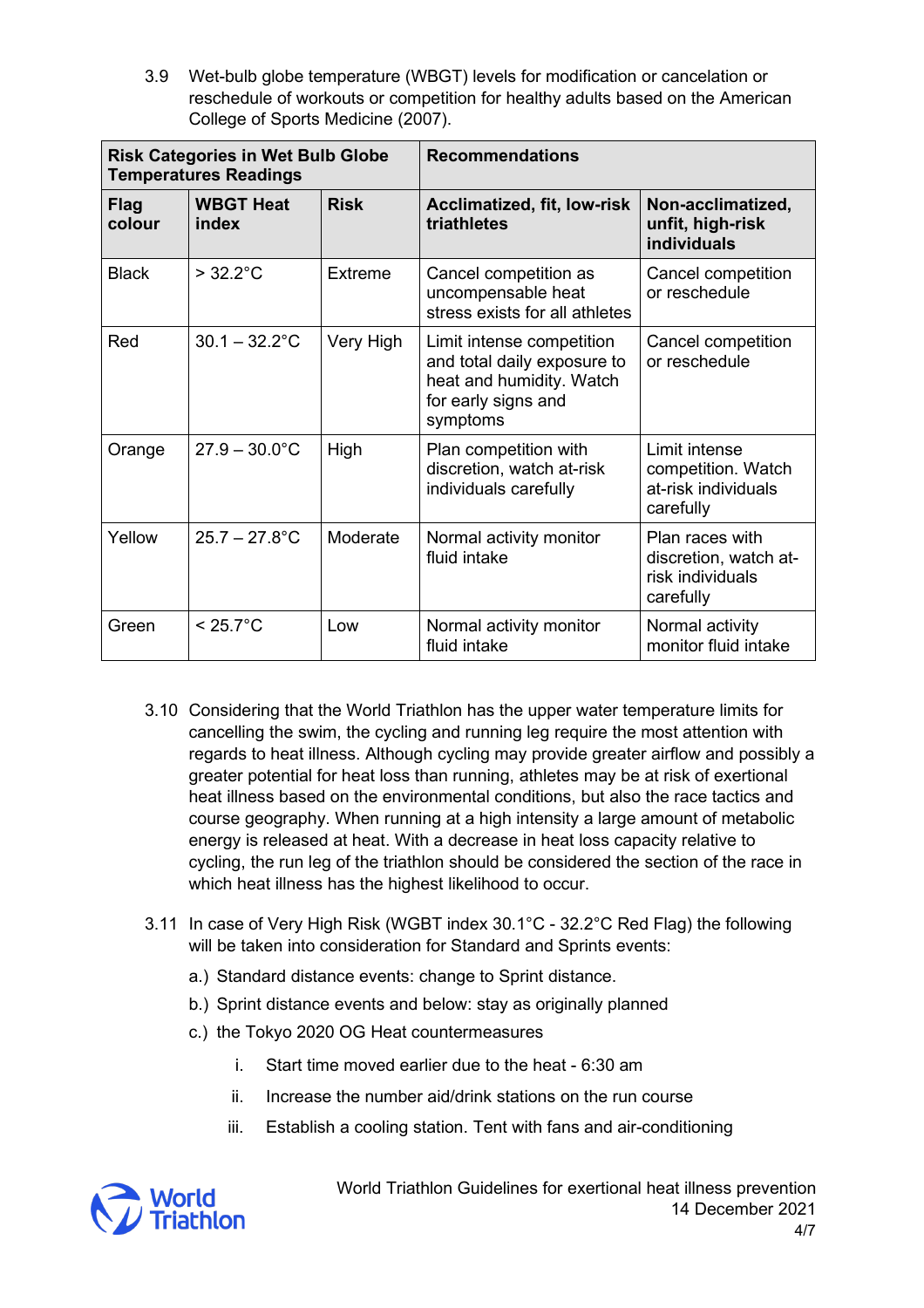3.9 Wet-bulb globe temperature (WBGT) levels for modification or cancelation or reschedule of workouts or competition for healthy adults based on the American College of Sports Medicine (2007).

| <b>Risk Categories in Wet Bulb Globe</b><br><b>Temperatures Readings</b> |                           |             | <b>Recommendations</b>                                                                                                  |                                                                           |
|--------------------------------------------------------------------------|---------------------------|-------------|-------------------------------------------------------------------------------------------------------------------------|---------------------------------------------------------------------------|
| <b>Flag</b><br>colour                                                    | <b>WBGT Heat</b><br>index | <b>Risk</b> | <b>Acclimatized, fit, low-risk</b><br>triathletes                                                                       | Non-acclimatized,<br>unfit, high-risk<br>individuals                      |
| <b>Black</b>                                                             | $> 32.2^{\circ}$ C        | Extreme     | Cancel competition as<br>uncompensable heat<br>stress exists for all athletes                                           | Cancel competition<br>or reschedule                                       |
| Red                                                                      | $30.1 - 32.2$ °C          | Very High   | Limit intense competition<br>and total daily exposure to<br>heat and humidity. Watch<br>for early signs and<br>symptoms | Cancel competition<br>or reschedule                                       |
| Orange                                                                   | $27.9 - 30.0^{\circ}$ C   | High        | Plan competition with<br>discretion, watch at-risk<br>individuals carefully                                             | Limit intense<br>competition. Watch<br>at-risk individuals<br>carefully   |
| Yellow                                                                   | $25.7 - 27.8$ °C          | Moderate    | Normal activity monitor<br>fluid intake                                                                                 | Plan races with<br>discretion, watch at-<br>risk individuals<br>carefully |
| Green                                                                    | $< 25.7^{\circ}$ C        | Low         | Normal activity monitor<br>fluid intake                                                                                 | Normal activity<br>monitor fluid intake                                   |

- 3.10 Considering that the World Triathlon has the upper water temperature limits for cancelling the swim, the cycling and running leg require the most attention with regards to heat illness. Although cycling may provide greater airflow and possibly a greater potential for heat loss than running, athletes may be at risk of exertional heat illness based on the environmental conditions, but also the race tactics and course geography. When running at a high intensity a large amount of metabolic energy is released at heat. With a decrease in heat loss capacity relative to cycling, the run leg of the triathlon should be considered the section of the race in which heat illness has the highest likelihood to occur.
- 3.11 In case of Very High Risk (WGBT index 30.1°C 32.2°C Red Flag) the following will be taken into consideration for Standard and Sprints events:
	- a.) Standard distance events: change to Sprint distance.
	- b.) Sprint distance events and below: stay as originally planned
	- c.) the Tokyo 2020 OG Heat countermeasures
		- i. Start time moved earlier due to the heat 6:30 am
		- ii. Increase the number aid/drink stations on the run course
		- iii. Establish a cooling station. Tent with fans and air-conditioning



World Triathlon Guidelines for exertional heat illness prevention 14 December 2021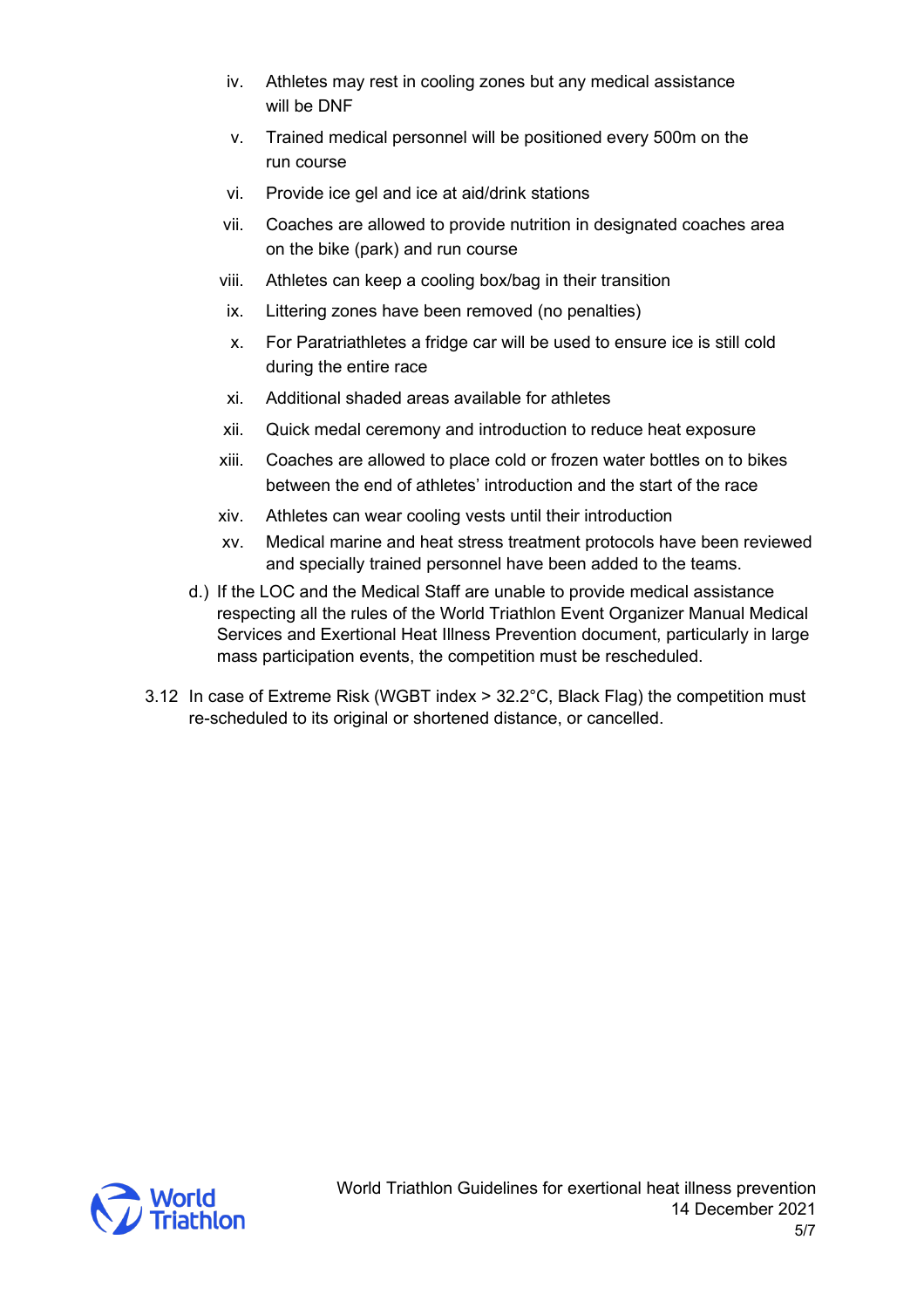- iv. Athletes may rest in cooling zones but any medical assistance will be DNF
- v. Trained medical personnel will be positioned every 500m on the run course
- vi. Provide ice gel and ice at aid/drink stations
- vii. Coaches are allowed to provide nutrition in designated coaches area on the bike (park) and run course
- viii. Athletes can keep a cooling box/bag in their transition
- ix. Littering zones have been removed (no penalties)
- x. For Paratriathletes a fridge car will be used to ensure ice is still cold during the entire race
- xi. Additional shaded areas available for athletes
- xii. Quick medal ceremony and introduction to reduce heat exposure
- xiii. Coaches are allowed to place cold or frozen water bottles on to bikes between the end of athletes' introduction and the start of the race
- xiv. Athletes can wear cooling vests until their introduction
- xv. Medical marine and heat stress treatment protocols have been reviewed and specially trained personnel have been added to the teams.
- d.) If the LOC and the Medical Staff are unable to provide medical assistance respecting all the rules of the World Triathlon Event Organizer Manual Medical Services and Exertional Heat Illness Prevention document, particularly in large mass participation events, the competition must be rescheduled.
- 3.12 In case of Extreme Risk (WGBT index > 32.2°C, Black Flag) the competition must re-scheduled to its original or shortened distance, or cancelled.

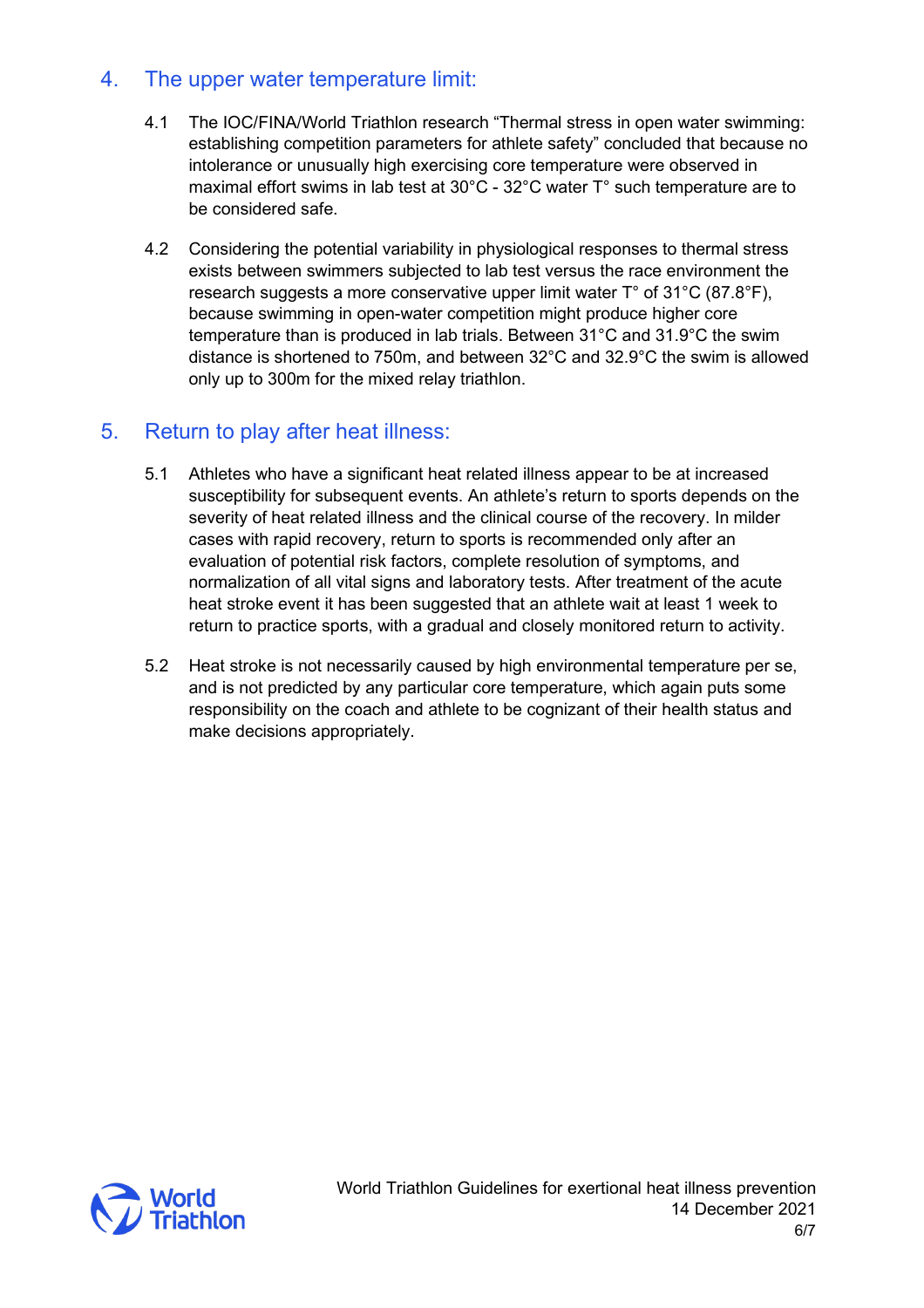## 4. The upper water temperature limit:

- 4.1 The IOC/FINA/World Triathlon research "Thermal stress in open water swimming: establishing competition parameters for athlete safety" concluded that because no intolerance or unusually high exercising core temperature were observed in maximal effort swims in lab test at 30°C - 32°C water T° such temperature are to be considered safe.
- 4.2 Considering the potential variability in physiological responses to thermal stress exists between swimmers subjected to lab test versus the race environment the research suggests a more conservative upper limit water T° of 31°C (87.8°F), because swimming in open-water competition might produce higher core temperature than is produced in lab trials. Between 31°C and 31.9°C the swim distance is shortened to 750m, and between 32°C and 32.9°C the swim is allowed only up to 300m for the mixed relay triathlon.

#### 5. Return to play after heat illness:

- 5.1 Athletes who have a significant heat related illness appear to be at increased susceptibility for subsequent events. An athlete's return to sports depends on the severity of heat related illness and the clinical course of the recovery. In milder cases with rapid recovery, return to sports is recommended only after an evaluation of potential risk factors, complete resolution of symptoms, and normalization of all vital signs and laboratory tests. After treatment of the acute heat stroke event it has been suggested that an athlete wait at least 1 week to return to practice sports, with a gradual and closely monitored return to activity.
- 5.2 Heat stroke is not necessarily caused by high environmental temperature per se, and is not predicted by any particular core temperature, which again puts some responsibility on the coach and athlete to be cognizant of their health status and make decisions appropriately.